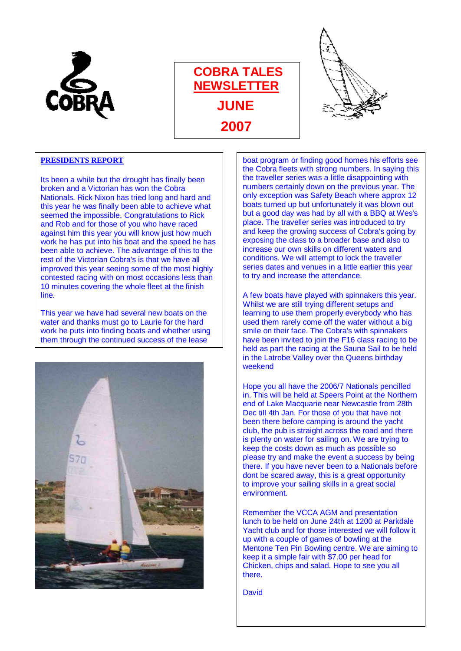

## **COBRA TALES NEWSLETTER JUNE 2007**



## **PRESIDENTS REPORT**

Its been a while but the drought has finally been broken and a Victorian has won the Cobra Nationals. Rick Nixon has tried long and hard and this year he was finally been able to achieve what seemed the impossible. Congratulations to Rick and Rob and for those of you who have raced against him this year you will know just how much work he has put into his boat and the speed he has been able to achieve. The advantage of this to the rest of the Victorian Cobra's is that we have all improved this year seeing some of the most highly contested racing with on most occasions less than 10 minutes covering the whole fleet at the finish line.

This year we have had several new boats on the water and thanks must go to Laurie for the hard work he puts into finding boats and whether using them through the continued success of the lease



boat program or finding good homes his efforts see the Cobra fleets with strong numbers. In saying this the traveller series was a little disappointing with numbers certainly down on the previous year. The only exception was Safety Beach where approx 12 boats turned up but unfortunately it was blown out but a good day was had by all with a BBQ at Wes's place. The traveller series was introduced to try and keep the growing success of Cobra's going by exposing the class to a broader base and also to increase our own skills on different waters and conditions. We will attempt to lock the traveller series dates and venues in a little earlier this year to try and increase the attendance.

A few boats have played with spinnakers this year. Whilst we are still trying different setups and learning to use them properly everybody who has used them rarely come off the water without a big smile on their face. The Cobra's with spinnakers have been invited to join the F16 class racing to be held as part the racing at the Sauna Sail to be held in the Latrobe Valley over the Queens birthday weekend

Hope you all have the 2006/7 Nationals pencilled in. This will be held at Speers Point at the Northern end of Lake Macquarie near Newcastle from 28th Dec till 4th Jan. For those of you that have not been there before camping is around the yacht club, the pub is straight across the road and there is plenty on water for sailing on. We are trying to keep the costs down as much as possible so please try and make the event a success by being there. If you have never been to a Nationals before dont be scared away, this is a great opportunity to improve your sailing skills in a great social environment.

Remember the VCCA AGM and presentation lunch to be held on June 24th at 1200 at Parkdale Yacht club and for those interested we will follow it up with a couple of games of bowling at the Mentone Ten Pin Bowling centre. We are aiming to keep it a simple fair with \$7.00 per head for Chicken, chips and salad. Hope to see you all there.

**David**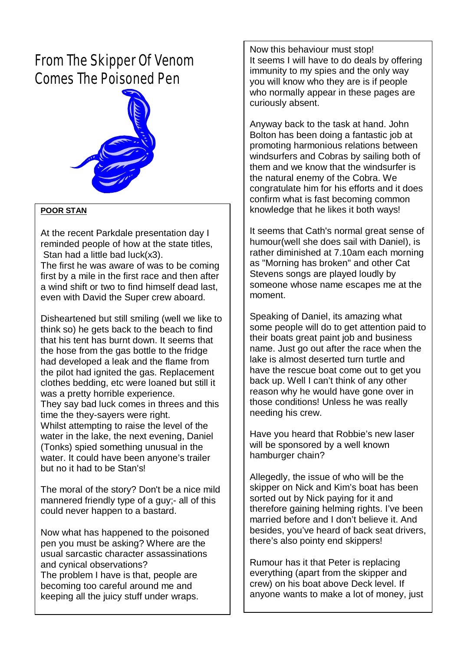## *From The Skipper Of Venom Comes The Poisoned Pen*



### **POOR STAN**

At the recent Parkdale presentation day I reminded people of how at the state titles, Stan had a little bad luck(x3).

The first he was aware of was to be coming first by a mile in the first race and then after a wind shift or two to find himself dead last, even with David the Super crew aboard.

Disheartened but still smiling (well we like to think so) he gets back to the beach to find that his tent has burnt down. It seems that the hose from the gas bottle to the fridge had developed a leak and the flame from the pilot had ignited the gas. Replacement clothes bedding, etc were loaned but still it was a pretty horrible experience. They say bad luck comes in threes and this time the they-sayers were right. Whilst attempting to raise the level of the water in the lake, the next evening, Daniel (Tonks) spied something unusual in the water. It could have been anyone's trailer but no it had to be Stan's!

The moral of the story? Don't be a nice mild mannered friendly type of a guy;- all of this could never happen to a bastard.

 becoming too careful around me and Now what has happened to the poisoned pen you must be asking? Where are the usual sarcastic character assassinations and cynical observations? The problem I have is that, people are keeping all the juicy stuff under wraps.

Now this behaviour must stop! It seems I will have to do deals by offering immunity to my spies and the only way you will know who they are is if people who normally appear in these pages are curiously absent.

Anyway back to the task at hand. John Bolton has been doing a fantastic job at promoting harmonious relations between windsurfers and Cobras by sailing both of them and we know that the windsurfer is the natural enemy of the Cobra. We congratulate him for his efforts and it does confirm what is fast becoming common knowledge that he likes it both ways!

It seems that Cath's normal great sense of humour(well she does sail with Daniel), is rather diminished at 7.10am each morning as "Morning has broken" and other Cat Stevens songs are played loudly by someone whose name escapes me at the moment.

Speaking of Daniel, its amazing what some people will do to get attention paid to their boats great paint job and business name. Just go out after the race when the lake is almost deserted turn turtle and have the rescue boat come out to get you back up. Well I can't think of any other reason why he would have gone over in those conditions! Unless he was really needing his crew.

Have you heard that Robbie's new laser will be sponsored by a well known hamburger chain?

Allegedly, the issue of who will be the skipper on Nick and Kim's boat has been sorted out by Nick paying for it and therefore gaining helming rights. I've been married before and I don't believe it. And besides, you've heard of back seat drivers, there's also pointy end skippers!

Rumour has it that Peter is replacing everything (apart from the skipper and crew) on his boat above Deck level. If anyone wants to make a lot of money, just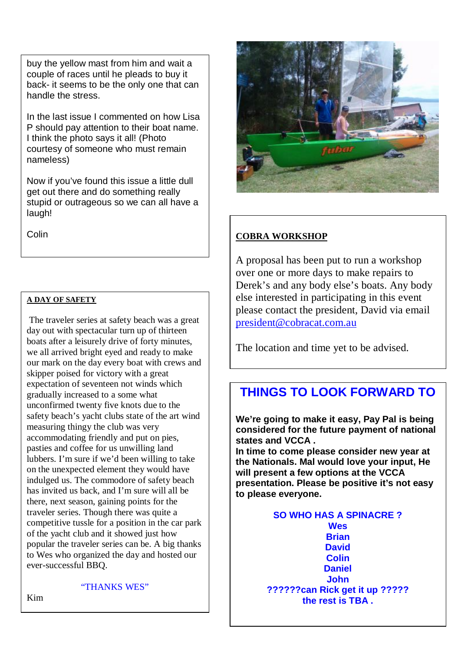buy the yellow mast from him and wait a couple of races until he pleads to buy it back- it seems to be the only one that can handle the stress.

In the last issue I commented on how Lisa P should pay attention to their boat name. I think the photo says it all! (Photo courtesy of someone who must remain nameless)

Now if you've found this issue a little dull get out there and do something really stupid or outrageous so we can all have a laugh!

### **A DAY OF SAFETY**

 The traveler series at safety beach was a great day out with spectacular turn up of thirteen boats after a leisurely drive of forty minutes, we all arrived bright eyed and ready to make our mark on the day every boat with crews and skipper poised for victory with a great expectation of seventeen not winds which gradually increased to a some what unconfirmed twenty five knots due to the safety beach's yacht clubs state of the art wind measuring thingy the club was very accommodating friendly and put on pies, pasties and coffee for us unwilling land lubbers. I'm sure if we'd been willing to take on the unexpected element they would have indulged us. The commodore of safety beach has invited us back, and I'm sure will all be there, next season, gaining points for the traveler series. Though there was quite a competitive tussle for a position in the car park of the yacht club and it showed just how popular the traveler series can be. A big thanks to Wes who organized the day and hosted our ever-successful BBQ.



## Colin **Colin COBRA WORKSHOP**

A proposal has been put to run a workshop over one or more days to make repairs to Derek's and any body else's boats. Any body else interested in participating in this event please contact the president, David via email [president@cobracat.com.au](mailto:president@cobracat.com.au)

The location and time yet to be advised.

## **THINGS TO LOOK FORWARD TO**

**We're going to make it easy, Pay Pal is being considered for the future payment of national states and VCCA .** 

**In time to come please consider new year at the Nationals. Mal would love your input, He will present a few options at the VCCA presentation. Please be positive it's not easy to please everyone.** 

### **SO WHO HAS A SPINACRE ? Wes Brian David Colin Daniel John ??????can Rick get it up ????? the rest is TBA .**

Kim

"THANKS WES"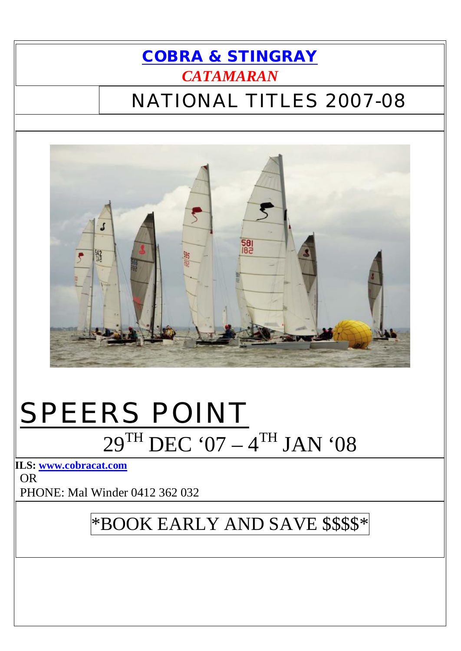# **COBRA & STINGRAY CATAMARAN**

# **NATIONAL TITLES 2007-08**



# **SPEERS POINT**<br> $29^{TH}$  DEC '07 -  $4^{TH}$  JAN '08

ILS: www.cobracat.com

**OR** PHONE: Mal Winder 0412 362 032

# \*BOOK EARLY AND SAVE \$\$\$\$\*